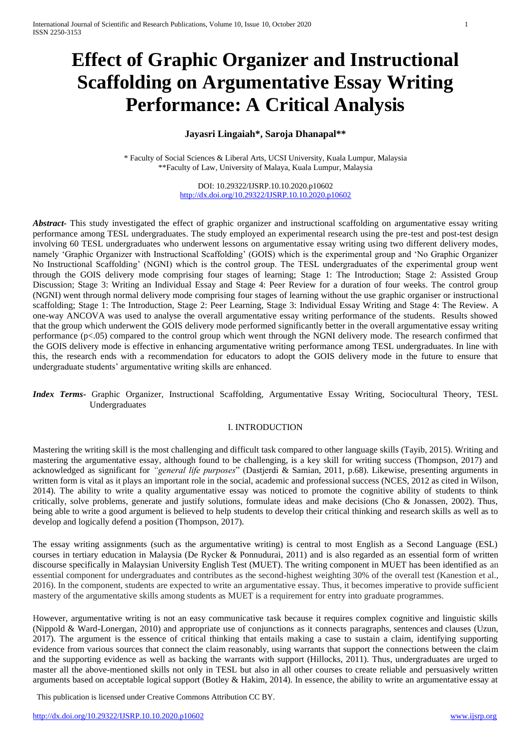# **Effect of Graphic Organizer and Instructional Scaffolding on Argumentative Essay Writing Performance: A Critical Analysis**

# **Jayasri Lingaiah\*, Saroja Dhanapal\*\***

\* Faculty of Social Sciences & Liberal Arts, UCSI University, Kuala Lumpur, Malaysia \*\*Faculty of Law, University of Malaya, Kuala Lumpur, Malaysia

> DOI: 10.29322/IJSRP.10.10.2020.p10602 <http://dx.doi.org/10.29322/IJSRP.10.10.2020.p10602>

*Abstract-* This study investigated the effect of graphic organizer and instructional scaffolding on argumentative essay writing performance among TESL undergraduates. The study employed an experimental research using the pre-test and post-test design involving 60 TESL undergraduates who underwent lessons on argumentative essay writing using two different delivery modes, namely 'Graphic Organizer with Instructional Scaffolding' (GOIS) which is the experimental group and 'No Graphic Organizer No Instructional Scaffolding' (NGNI) which is the control group. The TESL undergraduates of the experimental group went through the GOIS delivery mode comprising four stages of learning; Stage 1: The Introduction; Stage 2: Assisted Group Discussion; Stage 3: Writing an Individual Essay and Stage 4: Peer Review for a duration of four weeks. The control group (NGNI) went through normal delivery mode comprising four stages of learning without the use graphic organiser or instructional scaffolding; Stage 1: The Introduction, Stage 2: Peer Learning, Stage 3: Individual Essay Writing and Stage 4: The Review. A one-way ANCOVA was used to analyse the overall argumentative essay writing performance of the students. Results showed that the group which underwent the GOIS delivery mode performed significantly better in the overall argumentative essay writing performance (p<.05) compared to the control group which went through the NGNI delivery mode. The research confirmed that the GOIS delivery mode is effective in enhancing argumentative writing performance among TESL undergraduates. In line with this, the research ends with a recommendation for educators to adopt the GOIS delivery mode in the future to ensure that undergraduate students' argumentative writing skills are enhanced.

*Index Terms-* Graphic Organizer, Instructional Scaffolding, Argumentative Essay Writing, Sociocultural Theory, TESL Undergraduates

#### I. INTRODUCTION

Mastering the writing skill is the most challenging and difficult task compared to other language skills (Tayib, 2015). Writing and mastering the argumentative essay, although found to be challenging, is a key skill for writing success (Thompson, 2017) and acknowledged as significant for *"general life purposes*" (Dastjerdi & Samian, 2011, p.68). Likewise, presenting arguments in written form is vital as it plays an important role in the social, academic and professional success (NCES, 2012 as cited in Wilson, 2014). The ability to write a quality argumentative essay was noticed to promote the cognitive ability of students to think critically, solve problems, generate and justify solutions, formulate ideas and make decisions (Cho & Jonassen, 2002). Thus, being able to write a good argument is believed to help students to develop their critical thinking and research skills as well as to develop and logically defend a position (Thompson, 2017).

The essay writing assignments (such as the argumentative writing) is central to most English as a Second Language (ESL) courses in tertiary education in Malaysia (De Rycker & Ponnudurai, 2011) and is also regarded as an essential form of written discourse specifically in Malaysian University English Test (MUET). The writing component in MUET has been identified as an essential component for undergraduates and contributes as the second-highest weighting 30% of the overall test (Kanestion et al., 2016). In the component, students are expected to write an argumentative essay. Thus, it becomes imperative to provide sufficient mastery of the argumentative skills among students as MUET is a requirement for entry into graduate programmes.

However, argumentative writing is not an easy communicative task because it requires complex cognitive and linguistic skills (Nippold & Ward-Lonergan, 2010) and appropriate use of conjunctions as it connects paragraphs, sentences and clauses (Uzun, 2017). The argument is the essence of critical thinking that entails making a case to sustain a claim, identifying supporting evidence from various sources that connect the claim reasonably, using warrants that support the connections between the claim and the supporting evidence as well as backing the warrants with support (Hillocks, 2011). Thus, undergraduates are urged to master all the above-mentioned skills not only in TESL but also in all other courses to create reliable and persuasively written arguments based on acceptable logical support (Botley & Hakim, 2014). In essence, the ability to write an argumentative essay at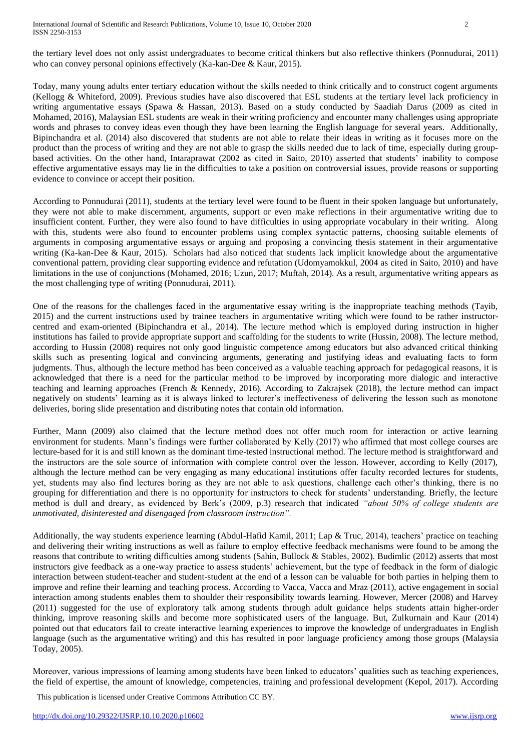the tertiary level does not only assist undergraduates to become critical thinkers but also reflective thinkers (Ponnudurai, 2011) who can convey personal opinions effectively (Ka-kan-Dee & Kaur, 2015).

Today, many young adults enter tertiary education without the skills needed to think critically and to construct cogent arguments (Kellogg & Whiteford, 2009). Previous studies have also discovered that ESL students at the tertiary level lack proficiency in writing argumentative essays (Spawa & Hassan, 2013). Based on a study conducted by Saadiah Darus (2009 as cited in Mohamed, 2016), Malaysian ESL students are weak in their writing proficiency and encounter many challenges using appropriate words and phrases to convey ideas even though they have been learning the English language for several years. Additionally, Bipinchandra et al. (2014) also discovered that students are not able to relate their ideas in writing as it focuses more on the product than the process of writing and they are not able to grasp the skills needed due to lack of time, especially during groupbased activities. On the other hand, Intaraprawat (2002 as cited in Saito, 2010) asserted that students' inability to compose effective argumentative essays may lie in the difficulties to take a position on controversial issues, provide reasons or supporting evidence to convince or accept their position.

According to Ponnudurai (2011), students at the tertiary level were found to be fluent in their spoken language but unfortunately, they were not able to make discernment, arguments, support or even make reflections in their argumentative writing due to insufficient content. Further, they were also found to have difficulties in using appropriate vocabulary in their writing. Along with this, students were also found to encounter problems using complex syntactic patterns, choosing suitable elements of arguments in composing argumentative essays or arguing and proposing a convincing thesis statement in their argumentative writing (Ka-kan-Dee & Kaur, 2015). Scholars had also noticed that students lack implicit knowledge about the argumentative conventional pattern, providing clear supporting evidence and refutation (Udomyamokkul, 2004 as cited in Saito, 2010) and have limitations in the use of conjunctions (Mohamed, 2016; Uzun, 2017; Muftah, 2014). As a result, argumentative writing appears as the most challenging type of writing (Ponnudurai, 2011).

One of the reasons for the challenges faced in the argumentative essay writing is the inappropriate teaching methods (Tayib, 2015) and the current instructions used by trainee teachers in argumentative writing which were found to be rather instructorcentred and exam-oriented (Bipinchandra et al., 2014). The lecture method which is employed during instruction in higher institutions has failed to provide appropriate support and scaffolding for the students to write (Hussin, 2008). The lecture method, according to Hussin (2008) requires not only good linguistic competence among educators but also advanced critical thinking skills such as presenting logical and convincing arguments, generating and justifying ideas and evaluating facts to form judgments. Thus, although the lecture method has been conceived as a valuable teaching approach for pedagogical reasons, it is acknowledged that there is a need for the particular method to be improved by incorporating more dialogic and interactive teaching and learning approaches (French & Kennedy, 2016). According to Zakrajsek (2018), the lecture method can impact negatively on students' learning as it is always linked to lecturer's ineffectiveness of delivering the lesson such as monotone deliveries, boring slide presentation and distributing notes that contain old information.

Further, Mann (2009) also claimed that the lecture method does not offer much room for interaction or active learning environment for students. Mann's findings were further collaborated by Kelly (2017) who affirmed that most college courses are lecture-based for it is and still known as the dominant time-tested instructional method. The lecture method is straightforward and the instructors are the sole source of information with complete control over the lesson. However, according to Kelly (2017), although the lecture method can be very engaging as many educational institutions offer faculty recorded lectures for students, yet, students may also find lectures boring as they are not able to ask questions, challenge each other's thinking, there is no grouping for differentiation and there is no opportunity for instructors to check for students' understanding. Briefly, the lecture method is dull and dreary, as evidenced by Berk's (2009, p.3) research that indicated *"about 50% of college students are unmotivated, disinterested and disengaged from classroom instruction".* 

Additionally, the way students experience learning (Abdul-Hafid Kamil, 2011; Lap & Truc, 2014), teachers' practice on teaching and delivering their writing instructions as well as failure to employ effective feedback mechanisms were found to be among the reasons that contribute to writing difficulties among students (Sahin, Bullock & Stables, 2002). Budimlic (2012) asserts that most instructors give feedback as a one-way practice to assess students' achievement, but the type of feedback in the form of dialogic interaction between student-teacher and student-student at the end of a lesson can be valuable for both parties in helping them to improve and refine their learning and teaching process. According to Vacca, Vacca and Mraz (2011), active engagement in social interaction among students enables them to shoulder their responsibility towards learning. However, Mercer (2008) and Harvey (2011) suggested for the use of exploratory talk among students through adult guidance helps students attain higher-order thinking, improve reasoning skills and become more sophisticated users of the language. But, Zulkurnain and Kaur (2014) pointed out that educators fail to create interactive learning experiences to improve the knowledge of undergraduates in English language (such as the argumentative writing) and this has resulted in poor language proficiency among those groups (Malaysia Today, 2005).

Moreover, various impressions of learning among students have been linked to educators' qualities such as teaching experiences, the field of expertise, the amount of knowledge, competencies, training and professional development (Kepol, 2017). According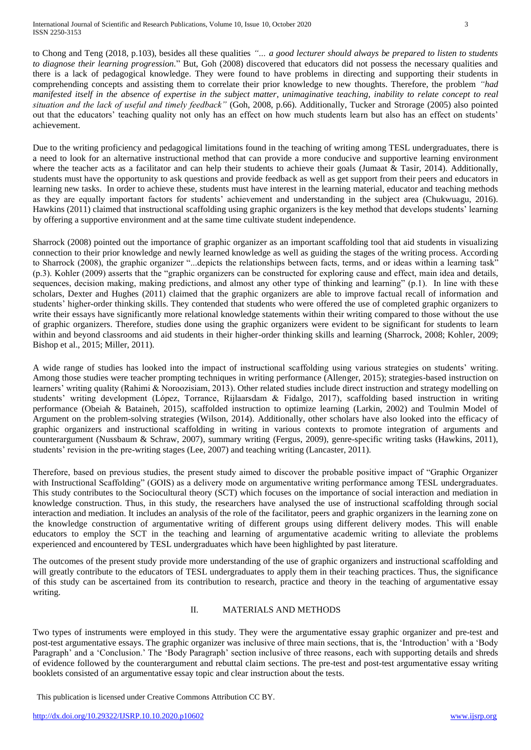to Chong and Teng (2018, p.103), besides all these qualities *"… a good lecturer should always be prepared to listen to students to diagnose their learning progression.*" But, Goh (2008) discovered that educators did not possess the necessary qualities and there is a lack of pedagogical knowledge. They were found to have problems in directing and supporting their students in comprehending concepts and assisting them to correlate their prior knowledge to new thoughts. Therefore, the problem *"had manifested itself in the absence of expertise in the subject matter, unimaginative teaching, inability to relate concept to real situation and the lack of useful and timely feedback"* (Goh, 2008, p.66). Additionally, Tucker and Strorage (2005) also pointed out that the educators' teaching quality not only has an effect on how much students learn but also has an effect on students' achievement.

Due to the writing proficiency and pedagogical limitations found in the teaching of writing among TESL undergraduates, there is a need to look for an alternative instructional method that can provide a more conducive and supportive learning environment where the teacher acts as a facilitator and can help their students to achieve their goals (Jumaat & Tasir, 2014). Additionally, students must have the opportunity to ask questions and provide feedback as well as get support from their peers and educators in learning new tasks. In order to achieve these, students must have interest in the learning material, educator and teaching methods as they are equally important factors for students' achievement and understanding in the subject area (Chukwuagu, 2016). Hawkins (2011) claimed that instructional scaffolding using graphic organizers is the key method that develops students' learning by offering a supportive environment and at the same time cultivate student independence.

Sharrock (2008) pointed out the importance of graphic organizer as an important scaffolding tool that aid students in visualizing connection to their prior knowledge and newly learned knowledge as well as guiding the stages of the writing process. According to Sharrock (2008), the graphic organizer "...depicts the relationships between facts, terms, and or ideas within a learning task" (p.3). Kohler (2009) asserts that the "graphic organizers can be constructed for exploring cause and effect, main idea and details, sequences, decision making, making predictions, and almost any other type of thinking and learning" (p.1). In line with these scholars, Dexter and Hughes (2011) claimed that the graphic organizers are able to improve factual recall of information and students' higher-order thinking skills. They contended that students who were offered the use of completed graphic organizers to write their essays have significantly more relational knowledge statements within their writing compared to those without the use of graphic organizers. Therefore, studies done using the graphic organizers were evident to be significant for students to learn within and beyond classrooms and aid students in their higher-order thinking skills and learning (Sharrock, 2008; Kohler, 2009; Bishop et al., 2015; Miller, 2011).

A wide range of studies has looked into the impact of instructional scaffolding using various strategies on students' writing. Among those studies were teacher prompting techniques in writing performance (Allenger, 2015); strategies-based instruction on learners' writing quality (Rahimi & Noroozisiam, 2013). Other related studies include direct instruction and strategy modelling on students' writing development (López, Torrance, Rijlaarsdam & Fidalgo, 2017), scaffolding based instruction in writing performance (Obeiah & Bataineh, 2015), scaffolded instruction to optimize learning (Larkin, 2002) and Toulmin Model of Argument on the problem-solving strategies (Wilson, 2014). Additionally, other scholars have also looked into the efficacy of graphic organizers and instructional scaffolding in writing in various contexts to promote integration of arguments and counterargument (Nussbaum & Schraw, 2007), summary writing (Fergus, 2009), genre-specific writing tasks (Hawkins, 2011), students' revision in the pre-writing stages (Lee, 2007) and teaching writing (Lancaster, 2011).

Therefore, based on previous studies, the present study aimed to discover the probable positive impact of "Graphic Organizer with Instructional Scaffolding" (GOIS) as a delivery mode on argumentative writing performance among TESL undergraduates. This study contributes to the Sociocultural theory (SCT) which focuses on the importance of social interaction and mediation in knowledge construction. Thus, in this study, the researchers have analysed the use of instructional scaffolding through social interaction and mediation. It includes an analysis of the role of the facilitator, peers and graphic organizers in the learning zone on the knowledge construction of argumentative writing of different groups using different delivery modes. This will enable educators to employ the SCT in the teaching and learning of argumentative academic writing to alleviate the problems experienced and encountered by TESL undergraduates which have been highlighted by past literature.

The outcomes of the present study provide more understanding of the use of graphic organizers and instructional scaffolding and will greatly contribute to the educators of TESL undergraduates to apply them in their teaching practices. Thus, the significance of this study can be ascertained from its contribution to research, practice and theory in the teaching of argumentative essay writing.

## II. MATERIALS AND METHODS

Two types of instruments were employed in this study. They were the argumentative essay graphic organizer and pre-test and post-test argumentative essays. The graphic organizer was inclusive of three main sections, that is, the 'Introduction' with a 'Body Paragraph' and a 'Conclusion.' The 'Body Paragraph' section inclusive of three reasons, each with supporting details and shreds of evidence followed by the counterargument and rebuttal claim sections. The pre-test and post-test argumentative essay writing booklets consisted of an argumentative essay topic and clear instruction about the tests.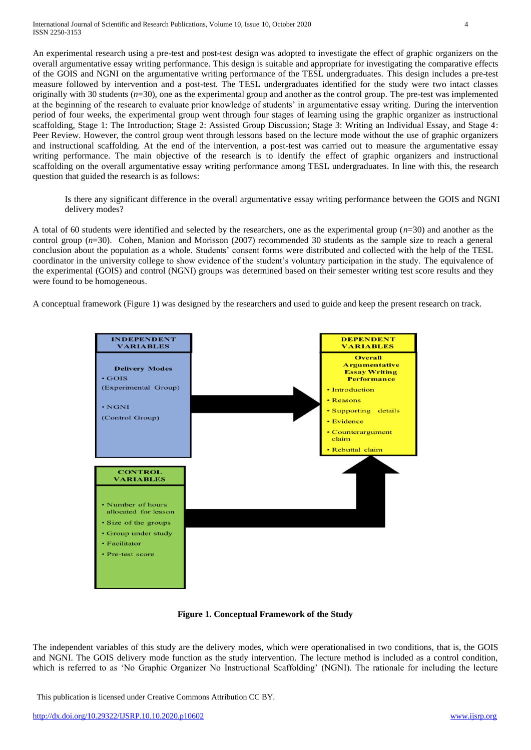An experimental research using a pre-test and post-test design was adopted to investigate the effect of graphic organizers on the overall argumentative essay writing performance. This design is suitable and appropriate for investigating the comparative effects of the GOIS and NGNI on the argumentative writing performance of the TESL undergraduates. This design includes a pre-test measure followed by intervention and a post-test. The TESL undergraduates identified for the study were two intact classes originally with 30 students  $(n=30)$ , one as the experimental group and another as the control group. The pre-test was implemented at the beginning of the research to evaluate prior knowledge of students' in argumentative essay writing. During the intervention period of four weeks, the experimental group went through four stages of learning using the graphic organizer as instructional scaffolding, Stage 1: The Introduction; Stage 2: Assisted Group Discussion; Stage 3: Writing an Individual Essay, and Stage 4: Peer Review. However, the control group went through lessons based on the lecture mode without the use of graphic organizers and instructional scaffolding. At the end of the intervention, a post-test was carried out to measure the argumentative essay writing performance. The main objective of the research is to identify the effect of graphic organizers and instructional scaffolding on the overall argumentative essay writing performance among TESL undergraduates. In line with this, the research question that guided the research is as follows:

Is there any significant difference in the overall argumentative essay writing performance between the GOIS and NGNI delivery modes?

A total of 60 students were identified and selected by the researchers, one as the experimental group (*n*=30) and another as the control group  $(n=30)$ . Cohen, Manion and Morisson (2007) recommended 30 students as the sample size to reach a general conclusion about the population as a whole. Students' consent forms were distributed and collected with the help of the TESL coordinator in the university college to show evidence of the student's voluntary participation in the study. The equivalence of the experimental (GOIS) and control (NGNI) groups was determined based on their semester writing test score results and they were found to be homogeneous.

A conceptual framework (Figure 1) was designed by the researchers and used to guide and keep the present research on track.



**Figure 1. Conceptual Framework of the Study**

The independent variables of this study are the delivery modes, which were operationalised in two conditions, that is, the GOIS and NGNI. The GOIS delivery mode function as the study intervention. The lecture method is included as a control condition, which is referred to as 'No Graphic Organizer No Instructional Scaffolding' (NGNI). The rationale for including the lecture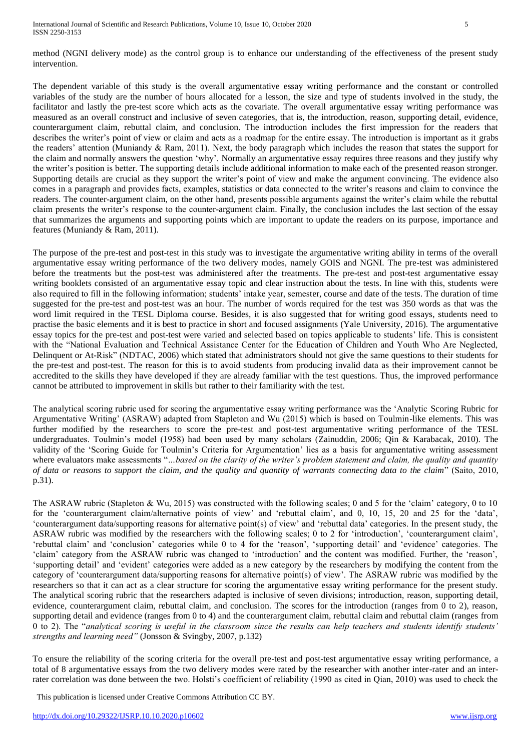method (NGNI delivery mode) as the control group is to enhance our understanding of the effectiveness of the present study intervention.

The dependent variable of this study is the overall argumentative essay writing performance and the constant or controlled variables of the study are the number of hours allocated for a lesson, the size and type of students involved in the study, the facilitator and lastly the pre-test score which acts as the covariate. The overall argumentative essay writing performance was measured as an overall construct and inclusive of seven categories, that is, the introduction, reason, supporting detail, evidence, counterargument claim, rebuttal claim, and conclusion. The introduction includes the first impression for the readers that describes the writer's point of view or claim and acts as a roadmap for the entire essay. The introduction is important as it grabs the readers' attention (Muniandy & Ram, 2011). Next, the body paragraph which includes the reason that states the support for the claim and normally answers the question 'why'. Normally an argumentative essay requires three reasons and they justify why the writer's position is better. The supporting details include additional information to make each of the presented reason stronger. Supporting details are crucial as they support the writer's point of view and make the argument convincing. The evidence also comes in a paragraph and provides facts, examples, statistics or data connected to the writer's reasons and claim to convince the readers. The counter-argument claim, on the other hand, presents possible arguments against the writer's claim while the rebuttal claim presents the writer's response to the counter-argument claim. Finally, the conclusion includes the last section of the essay that summarizes the arguments and supporting points which are important to update the readers on its purpose, importance and features (Muniandy & Ram, 2011).

The purpose of the pre-test and post-test in this study was to investigate the argumentative writing ability in terms of the overall argumentative essay writing performance of the two delivery modes, namely GOIS and NGNI. The pre-test was administered before the treatments but the post-test was administered after the treatments. The pre-test and post-test argumentative essay writing booklets consisted of an argumentative essay topic and clear instruction about the tests. In line with this, students were also required to fill in the following information; students' intake year, semester, course and date of the tests. The duration of time suggested for the pre-test and post-test was an hour. The number of words required for the test was 350 words as that was the word limit required in the TESL Diploma course. Besides, it is also suggested that for writing good essays, students need to practise the basic elements and it is best to practice in short and focused assignments (Yale University, 2016). The argumentative essay topics for the pre-test and post-test were varied and selected based on topics applicable to students' life. This is consistent with the "National Evaluation and Technical Assistance Center for the Education of Children and Youth Who Are Neglected, Delinquent or At-Risk" (NDTAC, 2006) which stated that administrators should not give the same questions to their students for the pre-test and post-test. The reason for this is to avoid students from producing invalid data as their improvement cannot be accredited to the skills they have developed if they are already familiar with the test questions. Thus, the improved performance cannot be attributed to improvement in skills but rather to their familiarity with the test.

The analytical scoring rubric used for scoring the argumentative essay writing performance was the 'Analytic Scoring Rubric for Argumentative Writing' (ASRAW) adapted from Stapleton and Wu (2015) which is based on Toulmin-like elements. This was further modified by the researchers to score the pre-test and post-test argumentative writing performance of the TESL undergraduates. Toulmin's model (1958) had been used by many scholars (Zainuddin, 2006; Qin & Karabacak, 2010). The validity of the 'Scoring Guide for Toulmin's Criteria for Argumentation' lies as a basis for argumentative writing assessment where evaluators make assessments "*…based on the clarity of the writer's problem statement and claim, the quality and quantity of data or reasons to support the claim, and the quality and quantity of warrants connecting data to the claim*" (Saito, 2010, p.31).

The ASRAW rubric (Stapleton & Wu, 2015) was constructed with the following scales; 0 and 5 for the 'claim' category, 0 to 10 for the 'counterargument claim/alternative points of view' and 'rebuttal claim', and 0, 10, 15, 20 and 25 for the 'data', 'counterargument data/supporting reasons for alternative point(s) of view' and 'rebuttal data' categories. In the present study, the ASRAW rubric was modified by the researchers with the following scales; 0 to 2 for 'introduction', 'counterargument claim', 'rebuttal claim' and 'conclusion' categories while 0 to 4 for the 'reason', 'supporting detail' and 'evidence' categories. The 'claim' category from the ASRAW rubric was changed to 'introduction' and the content was modified. Further, the 'reason', 'supporting detail' and 'evident' categories were added as a new category by the researchers by modifying the content from the category of 'counterargument data/supporting reasons for alternative point(s) of view'. The ASRAW rubric was modified by the researchers so that it can act as a clear structure for scoring the argumentative essay writing performance for the present study. The analytical scoring rubric that the researchers adapted is inclusive of seven divisions; introduction, reason, supporting detail, evidence, counterargument claim, rebuttal claim, and conclusion. The scores for the introduction (ranges from 0 to 2), reason, supporting detail and evidence (ranges from 0 to 4) and the counterargument claim, rebuttal claim and rebuttal claim (ranges from 0 to 2). The "*analytical scoring is useful in the classroom since the results can help teachers and students identify students' strengths and learning need"* (Jonsson & Svingby, 2007, p.132)

To ensure the reliability of the scoring criteria for the overall pre-test and post-test argumentative essay writing performance, a total of 8 argumentative essays from the two delivery modes were rated by the researcher with another inter-rater and an interrater correlation was done between the two. Holsti's coefficient of reliability (1990 as cited in Qian, 2010) was used to check the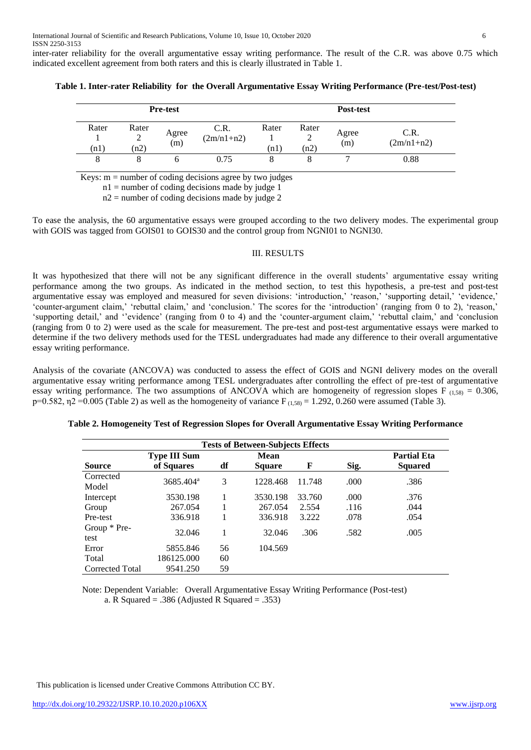inter-rater reliability for the overall argumentative essay writing performance. The result of the C.R. was above 0.75 which indicated excellent agreement from both raters and this is clearly illustrated in Table 1.

| <b>Pre-test</b> |                         |              |                      |              |                    |              |                      |
|-----------------|-------------------------|--------------|----------------------|--------------|--------------------|--------------|----------------------|
| Rater<br>(n1)   | Rater<br>⌒<br>↵<br>(n2) | Agree<br>(m) | C.R.<br>$(2m/n1+n2)$ | Rater<br>n1) | Rater<br>∼<br>(n2) | Agree<br>(m) | C.R.<br>$(2m/n1+n2)$ |
| 8               |                         |              | 0.75                 |              |                    |              | 0.88                 |

**Table 1. Inter-rater Reliability for the Overall Argumentative Essay Writing Performance (Pre-test/Post-test)**

Keys:  $m =$  number of coding decisions agree by two judges

 $n_1$  = number of coding decisions made by judge 1

 $n2$  = number of coding decisions made by judge 2

To ease the analysis, the 60 argumentative essays were grouped according to the two delivery modes. The experimental group with GOIS was tagged from GOIS01 to GOIS30 and the control group from NGNI01 to NGNI30.

#### III. RESULTS

It was hypothesized that there will not be any significant difference in the overall students' argumentative essay writing performance among the two groups. As indicated in the method section, to test this hypothesis, a pre-test and post-test argumentative essay was employed and measured for seven divisions: 'introduction,' 'reason,' 'supporting detail,' 'evidence,' 'counter-argument claim,' 'rebuttal claim,' and 'conclusion.' The scores for the 'introduction' (ranging from 0 to 2), 'reason,' 'supporting detail,' and ''evidence' (ranging from 0 to 4) and the 'counter-argument claim,' 'rebuttal claim,' and 'conclusion (ranging from 0 to 2) were used as the scale for measurement. The pre-test and post-test argumentative essays were marked to determine if the two delivery methods used for the TESL undergraduates had made any difference to their overall argumentative essay writing performance.

Analysis of the covariate (ANCOVA) was conducted to assess the effect of GOIS and NGNI delivery modes on the overall argumentative essay writing performance among TESL undergraduates after controlling the effect of pre-test of argumentative essay writing performance. The two assumptions of ANCOVA which are homogeneity of regression slopes F  $_{(1,58)} = 0.306$ , p=0.582,  $\eta$ 2 =0.005 (Table 2) as well as the homogeneity of variance F<sub>(1,58)</sub> = 1.292, 0.260 were assumed (Table 3).

| <b>Tests of Between-Subjects Effects</b> |                                   |    |                       |        |      |                                      |  |
|------------------------------------------|-----------------------------------|----|-----------------------|--------|------|--------------------------------------|--|
| <b>Source</b>                            | <b>Type III Sum</b><br>of Squares | df | Mean<br><b>Square</b> | F      | Sig. | <b>Partial Eta</b><br><b>Squared</b> |  |
| Corrected<br>Model                       | 3685.404 <sup>a</sup>             | 3  | 1228.468              | 11.748 | .000 | .386                                 |  |
| Intercept                                | 3530.198                          |    | 3530.198              | 33.760 | .000 | .376                                 |  |
| Group                                    | 267.054                           |    | 267.054               | 2.554  | .116 | .044                                 |  |
| Pre-test                                 | 336.918                           |    | 336.918               | 3.222  | .078 | .054                                 |  |
| Group * Pre-<br>test                     | 32.046                            |    | 32.046                | .306   | .582 | .005                                 |  |
| Error                                    | 5855.846                          | 56 | 104.569               |        |      |                                      |  |
| Total                                    | 186125.000                        | 60 |                       |        |      |                                      |  |
| Corrected Total                          | 9541.250                          | 59 |                       |        |      |                                      |  |

|  |  | Table 2. Homogeneity Test of Regression Slopes for Overall Argumentative Essay Writing Performance |  |
|--|--|----------------------------------------------------------------------------------------------------|--|
|  |  |                                                                                                    |  |
|  |  |                                                                                                    |  |
|  |  |                                                                                                    |  |

Note: Dependent Variable: Overall Argumentative Essay Writing Performance (Post-test) a. R Squared = .386 (Adjusted R Squared = .353)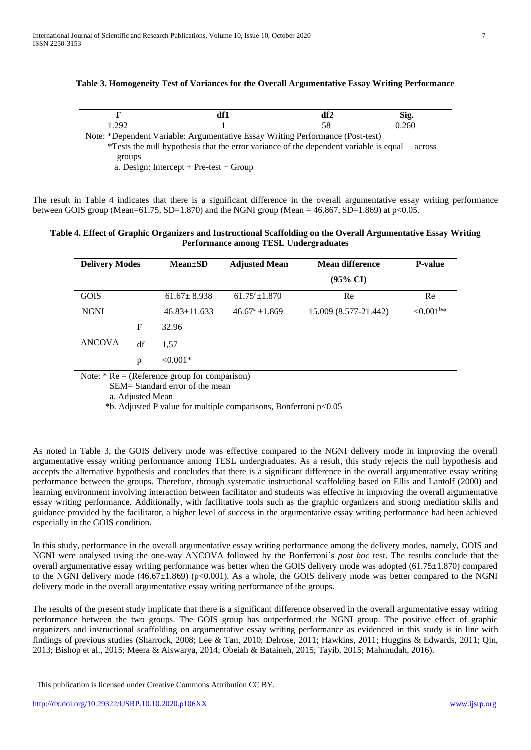| Table 3. Homogeneity Test of Variances for the Overall Argumentative Essay Writing Performance |  |  |  |
|------------------------------------------------------------------------------------------------|--|--|--|

|                 | 104 | 3.OG | ້ |
|-----------------|-----|------|---|
| $20^\circ$<br>. |     |      |   |

Note: \*Dependent Variable: Argumentative Essay Writing Performance (Post-test)

 \*Tests the null hypothesis that the error variance of the dependent variable is equal across groups

a. Design: Intercept + Pre-test + Group

The result in Table 4 indicates that there is a significant difference in the overall argumentative essay writing performance between GOIS group (Mean=61.75, SD=1.870) and the NGNI group (Mean =  $46.867$ , SD=1.869) at p<0.05.

# **Table 4. Effect of Graphic Organizers and Instructional Scaffolding on the Overall Argumentative Essay Writing Performance among TESL Undergraduates**

| <b>Delivery Modes</b> |             | $Mean \pm SD$      | <b>Adjusted Mean</b>   | <b>Mean difference</b> | <b>P-value</b>  |
|-----------------------|-------------|--------------------|------------------------|------------------------|-----------------|
|                       |             |                    |                        | $(95\% \text{ CI})$    |                 |
| <b>GOIS</b>           |             | $61.67 \pm 8.938$  | $61.75^{\circ}$ ±1.870 | Re                     | Re              |
| <b>NGNI</b>           |             | $46.83 \pm 11.633$ | $46.67^{\rm a}$ ±1.869 | 15.009 (8.577-21.442)  | ${<}0.001^{b*}$ |
|                       | $\mathbf F$ | 32.96              |                        |                        |                 |
| <b>ANCOVA</b>         | df          | 1.57               |                        |                        |                 |
|                       | p           | $< 0.001*$         |                        |                        |                 |

Note: \* Re = (Reference group for comparison)

SEM= Standard error of the mean

a. Adjusted Mean

\*b. Adjusted P value for multiple comparisons, Bonferroni p<0.05

As noted in Table 3, the GOIS delivery mode was effective compared to the NGNI delivery mode in improving the overall argumentative essay writing performance among TESL undergraduates. As a result, this study rejects the null hypothesis and accepts the alternative hypothesis and concludes that there is a significant difference in the overall argumentative essay writing performance between the groups. Therefore, through systematic instructional scaffolding based on Ellis and Lantolf (2000) and learning environment involving interaction between facilitator and students was effective in improving the overall argumentative essay writing performance. Additionally, with facilitative tools such as the graphic organizers and strong mediation skills and guidance provided by the facilitator, a higher level of success in the argumentative essay writing performance had been achieved especially in the GOIS condition.

In this study, performance in the overall argumentative essay writing performance among the delivery modes, namely, GOIS and NGNI were analysed using the one-way ANCOVA followed by the Bonferroni's *post hoc* test. The results conclude that the overall argumentative essay writing performance was better when the GOIS delivery mode was adopted (61.75±1.870) compared to the NGNI delivery mode  $(46.67\pm1.869)$  (p<0.001). As a whole, the GOIS delivery mode was better compared to the NGNI delivery mode in the overall argumentative essay writing performance of the groups.

The results of the present study implicate that there is a significant difference observed in the overall argumentative essay writing performance between the two groups. The GOIS group has outperformed the NGNI group. The positive effect of graphic organizers and instructional scaffolding on argumentative essay writing performance as evidenced in this study is in line with findings of previous studies (Sharrock, 2008; Lee & Tan, 2010; Delrose, 2011; Hawkins, 2011; Huggins & Edwards, 2011; Qin, 2013; Bishop et al., 2015; Meera & Aiswarya, 2014; Obeiah & Bataineh, 2015; Tayib, 2015; Mahmudah, 2016).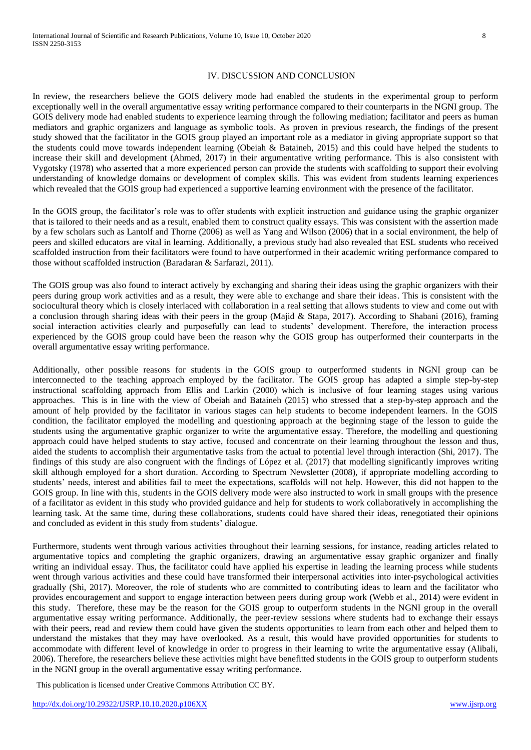## IV. DISCUSSION AND CONCLUSION

In review, the researchers believe the GOIS delivery mode had enabled the students in the experimental group to perform exceptionally well in the overall argumentative essay writing performance compared to their counterparts in the NGNI group. The GOIS delivery mode had enabled students to experience learning through the following mediation; facilitator and peers as human mediators and graphic organizers and language as symbolic tools. As proven in previous research, the findings of the present study showed that the facilitator in the GOIS group played an important role as a mediator in giving appropriate support so that the students could move towards independent learning (Obeiah & Bataineh, 2015) and this could have helped the students to increase their skill and development (Ahmed, 2017) in their argumentative writing performance. This is also consistent with Vygotsky (1978) who asserted that a more experienced person can provide the students with scaffolding to support their evolving understanding of knowledge domains or development of complex skills. This was evident from students learning experiences which revealed that the GOIS group had experienced a supportive learning environment with the presence of the facilitator.

In the GOIS group, the facilitator's role was to offer students with explicit instruction and guidance using the graphic organizer that is tailored to their needs and as a result, enabled them to construct quality essays. This was consistent with the assertion made by a few scholars such as Lantolf and Thorne (2006) as well as Yang and Wilson (2006) that in a social environment, the help of peers and skilled educators are vital in learning. Additionally, a previous study had also revealed that ESL students who received scaffolded instruction from their facilitators were found to have outperformed in their academic writing performance compared to those without scaffolded instruction (Baradaran & Sarfarazi, 2011).

The GOIS group was also found to interact actively by exchanging and sharing their ideas using the graphic organizers with their peers during group work activities and as a result, they were able to exchange and share their ideas. This is consistent with the sociocultural theory which is closely interlaced with collaboration in a real setting that allows students to view and come out with a conclusion through sharing ideas with their peers in the group (Majid & Stapa, 2017). According to Shabani (2016), framing social interaction activities clearly and purposefully can lead to students' development. Therefore, the interaction process experienced by the GOIS group could have been the reason why the GOIS group has outperformed their counterparts in the overall argumentative essay writing performance.

Additionally, other possible reasons for students in the GOIS group to outperformed students in NGNI group can be interconnected to the teaching approach employed by the facilitator. The GOIS group has adapted a simple step-by-step instructional scaffolding approach from Ellis and Larkin (2000) which is inclusive of four learning stages using various approaches. This is in line with the view of Obeiah and Bataineh (2015) who stressed that a step-by-step approach and the amount of help provided by the facilitator in various stages can help students to become independent learners. In the GOIS condition, the facilitator employed the modelling and questioning approach at the beginning stage of the lesson to guide the students using the argumentative graphic organizer to write the argumentative essay. Therefore, the modelling and questioning approach could have helped students to stay active, focused and concentrate on their learning throughout the lesson and thus, aided the students to accomplish their argumentative tasks from the actual to potential level through interaction (Shi, 2017). The findings of this study are also congruent with the findings of López et al. (2017) that modelling significantly improves writing skill although employed for a short duration. According to Spectrum Newsletter (2008), if appropriate modelling according to students' needs, interest and abilities fail to meet the expectations, scaffolds will not help. However, this did not happen to the GOIS group. In line with this, students in the GOIS delivery mode were also instructed to work in small groups with the presence of a facilitator as evident in this study who provided guidance and help for students to work collaboratively in accomplishing the learning task. At the same time, during these collaborations, students could have shared their ideas, renegotiated their opinions and concluded as evident in this study from students' dialogue.

Furthermore, students went through various activities throughout their learning sessions, for instance, reading articles related to argumentative topics and completing the graphic organizers, drawing an argumentative essay graphic organizer and finally writing an individual essay. Thus, the facilitator could have applied his expertise in leading the learning process while students went through various activities and these could have transformed their interpersonal activities into inter-psychological activities gradually (Shi, 2017). Moreover, the role of students who are committed to contributing ideas to learn and the facilitator who provides encouragement and support to engage interaction between peers during group work (Webb et al., 2014) were evident in this study. Therefore, these may be the reason for the GOIS group to outperform students in the NGNI group in the overall argumentative essay writing performance. Additionally, the peer-review sessions where students had to exchange their essays with their peers, read and review them could have given the students opportunities to learn from each other and helped them to understand the mistakes that they may have overlooked. As a result, this would have provided opportunities for students to accommodate with different level of knowledge in order to progress in their learning to write the argumentative essay (Alibali, 2006). Therefore, the researchers believe these activities might have benefitted students in the GOIS group to outperform students in the NGNI group in the overall argumentative essay writing performance.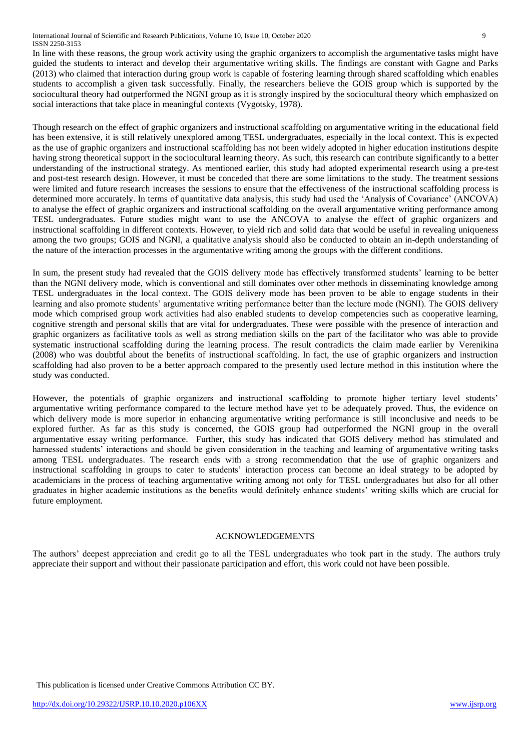International Journal of Scientific and Research Publications, Volume 10, Issue 10, October 2020 9 ISSN 2250-3153

In line with these reasons, the group work activity using the graphic organizers to accomplish the argumentative tasks might have guided the students to interact and develop their argumentative writing skills. The findings are constant with Gagne and Parks (2013) who claimed that interaction during group work is capable of fostering learning through shared scaffolding which enables students to accomplish a given task successfully. Finally, the researchers believe the GOIS group which is supported by the sociocultural theory had outperformed the NGNI group as it is strongly inspired by the sociocultural theory which emphasized on social interactions that take place in meaningful contexts (Vygotsky, 1978).

Though research on the effect of graphic organizers and instructional scaffolding on argumentative writing in the educational field has been extensive, it is still relatively unexplored among TESL undergraduates, especially in the local context. This is expected as the use of graphic organizers and instructional scaffolding has not been widely adopted in higher education institutions despite having strong theoretical support in the sociocultural learning theory. As such, this research can contribute significantly to a better understanding of the instructional strategy. As mentioned earlier, this study had adopted experimental research using a pre-test and post-test research design. However, it must be conceded that there are some limitations to the study. The treatment sessions were limited and future research increases the sessions to ensure that the effectiveness of the instructional scaffolding process is determined more accurately. In terms of quantitative data analysis, this study had used the 'Analysis of Covariance' (ANCOVA) to analyse the effect of graphic organizers and instructional scaffolding on the overall argumentative writing performance among TESL undergraduates. Future studies might want to use the ANCOVA to analyse the effect of graphic organizers and instructional scaffolding in different contexts. However, to yield rich and solid data that would be useful in revealing uniqueness among the two groups; GOIS and NGNI, a qualitative analysis should also be conducted to obtain an in-depth understanding of the nature of the interaction processes in the argumentative writing among the groups with the different conditions.

In sum, the present study had revealed that the GOIS delivery mode has effectively transformed students' learning to be better than the NGNI delivery mode, which is conventional and still dominates over other methods in disseminating knowledge among TESL undergraduates in the local context. The GOIS delivery mode has been proven to be able to engage students in their learning and also promote students' argumentative writing performance better than the lecture mode (NGNI). The GOIS delivery mode which comprised group work activities had also enabled students to develop competencies such as cooperative learning, cognitive strength and personal skills that are vital for undergraduates. These were possible with the presence of interaction and graphic organizers as facilitative tools as well as strong mediation skills on the part of the facilitator who was able to provide systematic instructional scaffolding during the learning process. The result contradicts the claim made earlier by Verenikina (2008) who was doubtful about the benefits of instructional scaffolding. In fact, the use of graphic organizers and instruction scaffolding had also proven to be a better approach compared to the presently used lecture method in this institution where the study was conducted.

However, the potentials of graphic organizers and instructional scaffolding to promote higher tertiary level students' argumentative writing performance compared to the lecture method have yet to be adequately proved. Thus, the evidence on which delivery mode is more superior in enhancing argumentative writing performance is still inconclusive and needs to be explored further. As far as this study is concerned, the GOIS group had outperformed the NGNI group in the overall argumentative essay writing performance. Further, this study has indicated that GOIS delivery method has stimulated and harnessed students' interactions and should be given consideration in the teaching and learning of argumentative writing tasks among TESL undergraduates. The research ends with a strong recommendation that the use of graphic organizers and instructional scaffolding in groups to cater to students' interaction process can become an ideal strategy to be adopted by academicians in the process of teaching argumentative writing among not only for TESL undergraduates but also for all other graduates in higher academic institutions as the benefits would definitely enhance students' writing skills which are crucial for future employment.

## ACKNOWLEDGEMENTS

The authors' deepest appreciation and credit go to all the TESL undergraduates who took part in the study. The authors truly appreciate their support and without their passionate participation and effort, this work could not have been possible.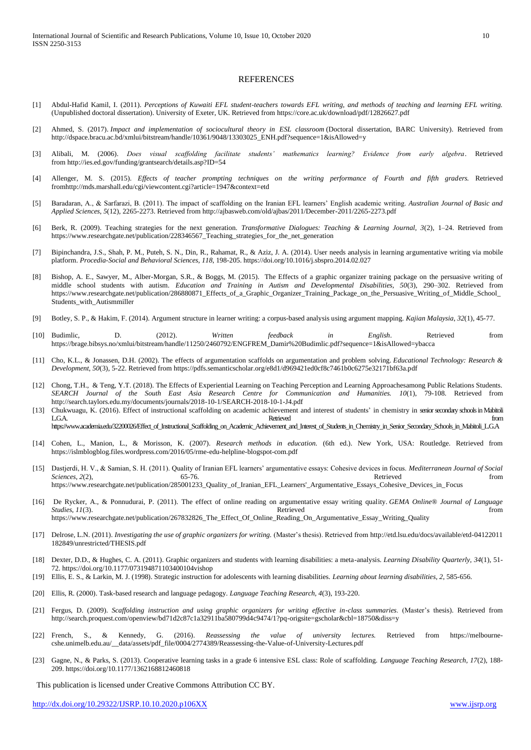#### **REFERENCES**

- [1] Abdul-Hafid Kamil, I. (2011). *Perceptions of Kuwaiti EFL student-teachers towards EFL writing, and methods of teaching and learning EFL writing.* (Unpublished doctoral dissertation). University of Exeter, UK. Retrieved fro[m https://core.ac.uk/download/pdf/12826627.pdf](https://core.ac.uk/download/pdf/12826627.pdf)
- [2] Ahmed, S. (2017). *Impact and implementation of sociocultural theory in ESL classroom* (Doctoral dissertation, BARC University). Retrieved from [http://dspace.bracu.ac.bd/xmlui/bitstream/handle/10361/9048/13303025\\_ENH.pdf?sequence=1&isAllowed=y](http://dspace.bracu.ac.bd/xmlui/bitstream/handle/10361/9048/13303025_ENH.pdf?sequence=1&isAllowed=y)
- [3] Alibali, M. (2006). *Does visual scaffolding facilitate students' mathematics learning? Evidence from early algebra*. Retrieved from <http://ies.ed.gov/funding/grantsearch/details.asp?ID=54>
- [4] Allenger, M. S. (2015). *Effects of teacher prompting techniques on the writing performance of Fourth and fifth graders.* Retrieved fromhttp://mds.marshall.edu/cgi/viewcontent.cgi?article=1947&context=etd
- [5] Baradaran, A., & Sarfarazi, B. (2011). The impact of scaffolding on the Iranian EFL learners' English academic writing. *Australian Journal of Basic and Applied Sciences*, *5*(12), 2265-2273. Retrieved fro[m http://ajbasweb.com/old/ajbas/2011/December-2011/2265-2273.pdf](http://ajbasweb.com/old/ajbas/2011/December-2011/2265-2273.pdf)
- [6] Berk, R. (2009). Teaching strategies for the next generation. *Transformative Dialogues: Teaching & Learning Journal, 3*(2), 1–24. Retrieved from [https://www.researchgate.net/publication/228346567\\_Teaching\\_strategies\\_for\\_the\\_net\\_generation](https://www.researchgate.net/publication/228346567_Teaching_strategies_for_the_net_generation)
- [7] Bipinchandra, J.S., Shah, P. M., Puteh, S. N., Din, R., Rahamat, R., & Aziz, J. A. (2014). User needs analysis in learning argumentative writing via mobile platform. *Procedia-Social and Behavioral Sciences*, *118*, 198-205. https://doi.org/10.1016/j.sbspro.2014.02.027
- [8] Bishop, A. E., Sawyer, M., Alber-Morgan, S.R., & Boggs, M. (2015). The Effects of a graphic organizer training package on the persuasive writing of middle school students with autism*. Education and Training in Autism and Developmental Disabilities, 50*(3), 290–302. Retrieved from [https://www.researchgate.net/publication/286880871\\_Effects\\_of\\_a\\_Graphic\\_Organizer\\_Training\\_Package\\_on\\_the\\_Persuasive\\_Writing\\_of\\_Middle\\_School\\_](https://www.researchgate.net/publication/286880871_Effects_of_a_Graphic_Organizer_Training_Package_on_the_Persuasive_Writing_of_Middle_School_Students_with_Autismmiller) [Students\\_with\\_Autismmiller](https://www.researchgate.net/publication/286880871_Effects_of_a_Graphic_Organizer_Training_Package_on_the_Persuasive_Writing_of_Middle_School_Students_with_Autismmiller)
- [9] Botley, S. P., & Hakim, F. (2014). Argument structure in learner writing: a corpus-based analysis using argument mapping. *Kajian Malaysia*, *32*(1), 45-77.
- [10] Budimlic, D. (2012). *Written feedback in English*. Retrieved from [https://brage.bibsys.no/xmlui/bitstream/handle/11250/2460792/ENGFREM\\_Damir%20Budimlic.pdf?sequence=1&isAllowed=ybacca](https://brage.bibsys.no/xmlui/bitstream/handle/11250/2460792/ENGFREM_Damir%20Budimlic.pdf?sequence=1&isAllowed=ybacca)
- [11] Cho, K.L., & Jonassen, D.H. (2002). The effects of argumentation scaffolds on argumentation and problem solving. *Educational Technology: Research & Development, 50*(3), 5-22. Retrieved fro[m https://pdfs.semanticscholar.org/e8d1/d969421ed0cf8c7461b0c6275e32171bf63a.pdf](https://pdfs.semanticscholar.org/e8d1/d969421ed0cf8c7461b0c6275e32171bf63a.pdf)
- [12] Chong, T.H., & Teng, Y.T. (2018). The Effects of Experiential Learning on Teaching Perception and Learning Approachesamong Public Relations Students. *SEARCH Journal of the South East Asia Research Centre for Communication and Humanities. 10*(1), 79-108. Retrieved from <http://search.taylors.edu.my/documents/journals/2018-10-1/SEARCH-2018-10-1-J4.pdf>
- [13] Chukwuagu, K. (2016). Effect of instructional scaffolding on academic achievement and interest of students' in chemistry in senior secondary schools in Mabitoli L.G.A. Retrieved from [https://www.academia.edu/32200026/Effect\\_of\\_Instructional\\_Scaffolding\\_on\\_Academic\\_Achievement\\_and\\_Interest\\_of\\_Students\\_in\\_Chemistry\\_in\\_Senior\\_Secondary\\_Schools\\_in\\_Mabitoli\\_L.G.A](https://www.academia.edu/32200026/Effect_of_Instructional_Scaffolding_on_Academic_Achievement_and_Interest_of_Students_in_Chemistry_in_Senior_Secondary_Schools_in_Mabitoli_L.G.A)
- [14] Cohen, L., Manion, L., & Morisson, K. (2007). *Research methods in education.* (6th ed.). New York, USA: Routledge. Retrieved from <https://islmblogblog.files.wordpress.com/2016/05/rme-edu-helpline-blogspot-com.pdf>
- [15] Dastjerdi, H. V., & Samian, S. H. (2011). Quality of Iranian EFL learners' argumentative essays: Cohesive devices in focus. *Mediterranean Journal of Social Sciences*, *2*(2), 65-76. 65-76. Retrieved from https://www.researchgate.net/publication/285001233\_Quality\_of\_Iranian\_EFL\_Learners'\_Argumentative\_Essays\_Cohesive\_Devices\_in\_Focus
- [16] De Rycker, A., & Ponnudurai, P. (2011). The effect of online reading on argumentative essay writing quality. *GEMA Online® Journal of Language Studies*, *11*(3). **Comparison in the contract of the contract of the contract of the contract of the contract of the contract of the contract of the contract of the contract of the contract of the contract of the contrac** [https://www.researchgate.net/publication/267832826\\_The\\_Effect\\_Of\\_Online\\_Reading\\_On\\_Argumentative\\_Essay\\_Writing\\_Quality](https://www.researchgate.net/publication/267832826_The_Effect_Of_Online_Reading_On_Argumentative_Essay_Writing_Quality)
- [17] Delrose, L.N. (2011). *Investigating the use of graphic organizers for writing.* (Master's thesis). Retrieved from [http://etd.lsu.edu/docs/available/etd-04122011](http://etd.lsu.edu/docs/available/etd-04122011%20182849/unrestricted/THESIS.pdf)  [182849/unrestricted/THESIS.pdf](http://etd.lsu.edu/docs/available/etd-04122011%20182849/unrestricted/THESIS.pdf)
- [18] Dexter, D.D., & Hughes, C. A. (2011). Graphic organizers and students with learning disabilities: a meta-analysis. *Learning Disability Quarterly, 34*(1), 51- 72.<https://doi.org/10.1177/073194871103400104vishop>
- [19] Ellis, E. S., & Larkin, M. J. (1998). Strategic instruction for adolescents with learning disabilities. *Learning about learning disabilities*, *2*, 585-656.
- [20] Ellis, R. (2000). Task-based research and language pedagogy. *Language Teaching Research, 4*(3), 193-220.
- [21] Fergus, D. (2009). *Scaffolding instruction and using graphic organizers for writing effective in-class summaries*. (Master's thesis). Retrieved from <http://search.proquest.com/openview/bd71d2c87c1a32911ba580799d4c9474/1?pq-origsite=gscholar&cbl=18750&diss=y>
- [22] French, S., & Kennedy, G. (2016). *Reassessing the value of university lectures.* Retrieved from [https://melbourne](https://melbourne-cshe.unimelb.edu.au/__data/assets/pdf_file/0004/2774389/Reassessing-the-Value-of-University-Lectures.pdf)[cshe.unimelb.edu.au/\\_\\_data/assets/pdf\\_file/0004/2774389/Reassessing-the-Value-of-University-Lectures.pdf](https://melbourne-cshe.unimelb.edu.au/__data/assets/pdf_file/0004/2774389/Reassessing-the-Value-of-University-Lectures.pdf)
- [23] Gagne, N., & Parks, S. (2013). Cooperative learning tasks in a grade 6 intensive ESL class: Role of scaffolding. *Language Teaching Research, 17*(2), 188- 209. https://doi.org/10.1177/1362168812460818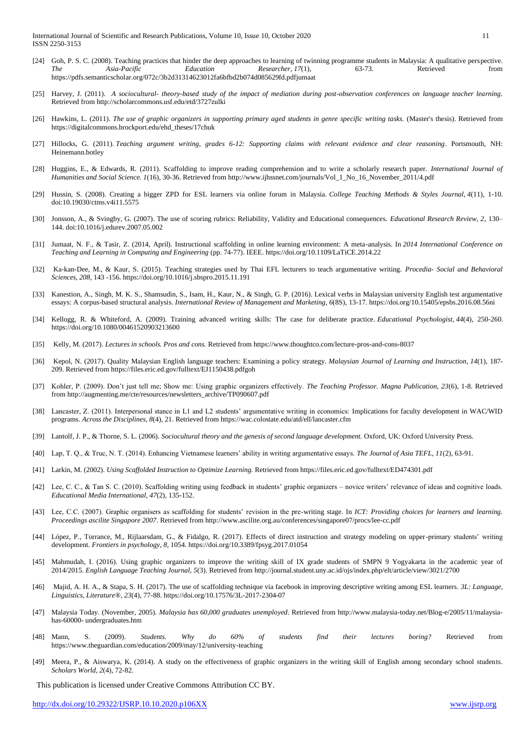International Journal of Scientific and Research Publications, Volume 10, Issue 10, October 2020 11 ISSN 2250-3153

- [24] Goh, P. S. C. (2008). Teaching practices that hinder the deep approaches to learning of twinning programme students in Malaysia: A qualitative perspective. *The Asia-Pacific Education Researcher*, *17*(1), 63-73. Retrieved from <https://pdfs.semanticscholar.org/072c/3b2d31314623012fa6bfbd2b074d085629fd.pdfjumaat>
- [25] Harvey, J. (2011). *A sociocultural- theory-based study of the impact of mediation during post-observation conferences on language teacher learning*. Retrieved from http://scholarcommons.usf.edu/etd/3727zulki
- [26] Hawkins, L. (2011). *The use of graphic organizers in supporting primary aged students in genre specific writing tasks.* (Master's thesis). Retrieved from https://digitalcommons.brockport.edu/ehd\_theses/17chuk
- [27] Hillocks, G. (2011). *Teaching argument writing, grades 6-12: Supporting claims with relevant evidence and clear reasoning*. Portsmouth, NH: Heinemann.botley
- [28] Huggins, E., & Edwards, R. (2011). Scaffolding to improve reading comprehension and to write a scholarly research paper. *International Journal of Humanities and Social Science. 1*(16), 30-36. Retrieved from [http://www.ijhssnet.com/journals/Vol\\_1\\_No\\_16\\_November\\_2011/4.pdf](http://www.ijhssnet.com/journals/Vol_1_No_16_November_2011/4.pdf)
- [29] Hussin, S. (2008). Creating a bigger ZPD for ESL learners via online forum in Malaysia. *College Teaching Methods & Styles Journal*, *4*(11), 1-10. doi:10.19030/ctms.v4i11.5575
- [30] Jonsson, A., & Svingby, G. (2007). The use of scoring rubrics: Reliability, Validity and Educational consequences. *Educational Research Review, 2*, 130– 144. doi:10.1016/j.edurev.2007.05.002
- [31] Jumaat, N. F., & Tasir, Z. (2014, April). Instructional scaffolding in online learning environment: A meta-analysis. In *2014 International Conference on Teaching and Learning in Computing and Engineering* (pp. 74-77). IEEE. <https://doi.org/10.1109/LaTiCE.2014.22>
- [32] Ka-kan-Dee, M., & Kaur, S. (2015). Teaching strategies used by Thai EFL lecturers to teach argumentative writing. *Procedia- Social and Behavioral Sciences, 208*, 143 -156. https://doi.org/10.1016/j.sbspro.2015.11.191
- [33] Kanestion, A., Singh, M. K. S., Shamsudin, S., Isam, H., Kaur, N., & Singh, G. P. (2016). Lexical verbs in Malaysian university English test argumentative essays: A corpus-based structural analysis. *International Review of Management and Marketing*, *6*(8S), 13-17. https://doi.org/10.15405/epsbs.2016.08.56ni
- [34] Kellogg, R. & Whiteford, A. (2009). Training advanced writing skills: The case for deliberate practice*. Educational Psychologist, 44*(4), 250-260. https://doi.org/10.1080/00461520903213600
- [35] Kelly, M. (2017). *Lectures in schools. Pros and cons.* Retrieved fro[m https://www.thoughtco.com/lecture-pros-and-cons-8037](https://www.thoughtco.com/lecture-pros-and-cons-8037)
- [36] Kepol, N. (2017). Quality Malaysian English language teachers: Examining a policy strategy. *Malaysian Journal of Learning and Instruction*, *14*(1), 187- 209. Retrieved fro[m https://files.eric.ed.gov/fulltext/EJ1150438.pdfgoh](https://files.eric.ed.gov/fulltext/EJ1150438.pdfgoh)
- [37] Kohler, P. (2009). Don't just tell me; Show me: Using graphic organizers effectively. *The Teaching Professor. Magna Publication, 23*(6), 1-8. Retrieved fro[m http://augmenting.me/cte/resources/newsletters\\_archive/TP090607.pdf](http://augmenting.me/cte/resources/newsletters_archive/TP090607.pdf)
- [38] Lancaster, Z. (2011). Interpersonal stance in L1 and L2 students' argumentative writing in economics: Implications for faculty development in WAC/WID programs. *Across the Disciplines*, *8*(4), 21. Retrieved from https://wac.colostate.edu/atd/ell/lancaster.cfm
- [39] Lantolf, J. P., & Thorne, S. L. (2006). *Sociocultural theory and the genesis of second language development.* Oxford, UK: Oxford University Press.
- [40] Lap, T. Q., & Truc, N. T. (2014). Enhancing Vietnamese learners' ability in writing argumentative essays. *The Journal of Asia TEFL, 11*(2), 63-91.
- [41] Larkin, M. (2002). *Using Scaffolded Instruction to Optimize Learning.* Retrieved from https://files.eric.ed.gov/fulltext/ED474301.pdf
- [42] Lee, C. C., & Tan S. C. (2010). Scaffolding writing using feedback in students' graphic organizers novice writers' relevance of ideas and cognitive loads. *Educational Media International, 47*(2), 135-152.
- [43] Lee, C.C. (2007). Graphic organisers as scaffolding for students' revision in the pre-writing stage. In *ICT: Providing choices for learners and learning. Proceedings ascilite Singapore 2007*. Retrieved from http://www.ascilite.org.au/conferences/singapore07/procs/lee-cc.pdf
- [44] López, P., Torrance, M., Rijlaarsdam, G., & Fidalgo, R. (2017). Effects of direct instruction and strategy modeling on upper-primary students' writing development. *Frontiers in psychology*, *8*, 1054. <https://doi.org/10.3389/fpsyg.2017.01054>
- [45] Mahmudah, I. (2016). Using graphic organizers to improve the writing skill of IX grade students of SMPN 9 Yogyakarta in the academic year of 2014/2015. *English Language Teaching Journal*, *5*(3). Retrieved fro[m http://journal.student.uny.ac.id/ojs/index.php/elt/article/view/3021/2700](http://journal.student.uny.ac.id/ojs/index.php/elt/article/view/3021/2700)
- [46] Majid, A. H. A., & Stapa, S. H. (2017). The use of scaffolding technique via facebook in improving descriptive writing among ESL learners. *3L: Language, Linguistics, Literature®*, *23*(4), 77-88[. https://doi.org/10.17576/3L-2017-2304-07](https://doi.org/10.17576/3L-2017-2304-07)
- [47] Malaysia Today. (November, 2005). *Malaysia has 60,000 graduates unemployed*. Retrieved from http://www.malaysia-today.net/Blog-e/2005/11/malaysiahas-60000- undergraduates.htm
- [48] Mann, S. (2009). *Students. Why do 60% of students find their lectures boring?* Retrieved from <https://www.theguardian.com/education/2009/may/12/university-teaching>
- [49] Meera, P., & Aiswarya, K. (2014). A study on the effectiveness of graphic organizers in the writing skill of English among secondary school students. *Scholars World, 2*(4), 72-82.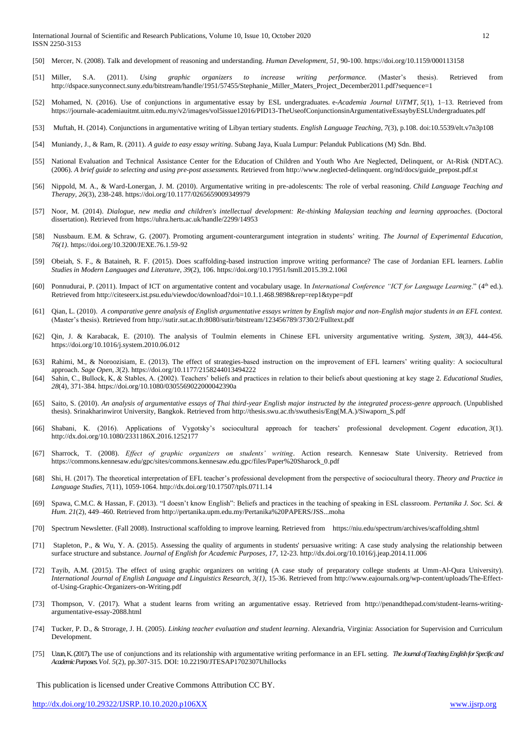- [50] Mercer, N. (2008). Talk and development of reasoning and understanding. *Human Development, 51,* 90-100[. https://doi.org/10.1159/000113158](https://doi.org/10.1159/000113158)
- [51] Miller, S.A. (2011). *Using graphic organizers to increase writing performance.* (Master's thesis). Retrieved from [http://dspace.sunyconnect.suny.edu/bitstream/handle/1951/57455/Stephanie\\_Miller\\_Maters\\_Project\\_December2011.pdf?sequence=1](http://dspace.sunyconnect.suny.edu/bitstream/handle/1951/57455/Stephanie_Miller_Maters_Project_December2011.pdf?sequence=1)
- [52] Mohamed, N. (2016). Use of conjunctions in argumentative essay by ESL undergraduates. e-*Academia Journal UiTMT, 5*(1), 1–13. Retrieved from <https://journale-academiauitmt.uitm.edu.my/v2/images/vol5issue12016/PID13-TheUseofConjunctionsinArgumentativeEssaybyESLUndergraduates.pdf>
- [53] Muftah, H. (2014). Conjunctions in argumentative writing of Libyan tertiary students*. English Language Teaching, 7*(3), p.108. doi:10.5539/elt.v7n3p108
- [54] Muniandy, J., & Ram, R. (2011). *A guide to easy essay writing*. Subang Jaya, Kuala Lumpur: Pelanduk Publications (M) Sdn. Bhd.
- [55] National Evaluation and Technical Assistance Center for the Education of Children and Youth Who Are Neglected, Delinquent, or At-Risk (NDTAC). (2006). *A brief guide to selecting and using pre-post assessments.* Retrieved from http://www.neglected-delinquent. org/nd/docs/guide\_prepost.pdf.st
- [56] Nippold, M. A., & Ward-Lonergan, J. M. (2010). Argumentative writing in pre-adolescents: The role of verbal reasoning. *Child Language Teaching and Therapy, 26*(3), 238-248[. https://doi.org/10.1177/0265659009349979](https://doi.org/10.1177/0265659009349979)
- [57] Noor, M. (2014). *Dialogue, new media and children's intellectual development: Re-thinking Malaysian teaching and learning approaches*. (Doctoral dissertation). Retrieved from<https://uhra.herts.ac.uk/handle/2299/14953>
- [58] Nussbaum. E.M. & Schraw, G. (2007). Promoting argument-counterargument integration in students' writing. *The Journal of Experimental Education, 76(1).* <https://doi.org/10.3200/JEXE.76.1.59-92>
- [59] Obeiah, S. F., & Bataineh, R. F. (2015). Does scaffolding-based instruction improve writing performance? The case of Jordanian EFL learners. *Lublin Studies in Modern Languages and Literature*, *39*(2), 106. <https://doi.org/10.17951/lsmll.2015.39.2.106l>
- [60] Ponnudurai, P. (2011). Impact of ICT on argumentative content and vocabulary usage. In *International Conference "ICT for Language Learning.*" (4<sup>th</sup> ed.). Retrieved fro[m http://citeseerx.ist.psu.edu/viewdoc/download?doi=10.1.1.468.9898&rep=rep1&type=pdf](http://citeseerx.ist.psu.edu/viewdoc/download?doi=10.1.1.468.9898&rep=rep1&type=pdf)
- [61] Qian, L. (2010). *A comparative genre analysis of English argumentative essays written by English major and non-English major students in an EFL context.* (Master's thesis). Retrieved from<http://sutir.sut.ac.th:8080/sutir/bitstream/123456789/3730/2/Fulltext.pdf>
- [62] Qin, J. & Karabacak, E. (2010). The analysis of Toulmin elements in Chinese EFL university argumentative writing. *System, 38*(3*),* 444-456. <https://doi.org/10.1016/j.system.2010.06.012>
- [63] Rahimi, M., & Noroozisiam, E. (2013). The effect of strategies-based instruction on the improvement of EFL learners' writing quality: A sociocultural approach. *Sage Open*, *3*(2)[. https://doi.org/10.1177/2158244013494222](https://doi.org/10.1177/2158244013494222)
- [64] Sahin, C., Bullock, K, & Stables, A. (2002). Teachers' beliefs and practices in relation to their beliefs about questioning at key stage 2. *Educational Studies, 28*(4), 371-384[. https://doi.org/10.1080/0305569022000042390a](https://doi.org/10.1080/0305569022000042390a)
- [65] Saito, S. (2010). *An analysis of argumentative essays of Thai third-year English major instructed by the integrated process-genre approach.* (Unpublished thesis). Srinakharinwirot University, Bangkok. Retrieved fro[m http://thesis.swu.ac.th/swuthesis/Eng\(M.A.\)/Siwaporn\\_S.pdf](http://thesis.swu.ac.th/swuthesis/Eng(M.A.)/Siwaporn_S.pdf)
- [66] Shabani, K. (2016). Applications of Vygotsky's sociocultural approach for teachers' professional development. *Cogent education*, *3*(1). <http://dx.doi.org/10.1080/2331186X.2016.1252177>
- [67] Sharrock, T. (2008). *Effect of graphic organizers on students' writing*. Action research. Kennesaw State University. Retrieved from [https://commons.kennesaw.edu/gpc/sites/commons.kennesaw.edu.gpc/files/Paper%20Sharock\\_0.pdf](https://commons.kennesaw.edu/gpc/sites/commons.kennesaw.edu.gpc/files/Paper%20Sharock_0.pdf)
- [68] Shi, H. (2017). The theoretical interpretation of EFL teacher's professional development from the perspective of sociocultural theory. *Theory and Practice in Language Studies*, *7*(11), 1059-1064. <http://dx.doi.org/10.17507/tpls.0711.14>
- [69] Spawa, C.M.C. & Hassan, F. (2013). "I doesn't know English": Beliefs and practices in the teaching of speaking in ESL classroom. *Pertanika J. Soc. Sci. & Hum. 21*(2), 449–460. Retrieved fro[m http://pertanika.upm.edu.my/Pertanika%20PAPERS/JSS...moha](http://pertanika.upm.edu.my/Pertanika%20PAPERS/JSS...moha)
- [70] Spectrum Newsletter. (Fall 2008). Instructional scaffolding to improve learning. Retrieved from <https://niu.edu/spectrum/archives/scaffolding.shtml>
- [71] Stapleton, P., & Wu, Y. A. (2015). Assessing the quality of arguments in students' persuasive writing: A case study analysing the relationship between surface structure and substance. *Journal of English for Academic Purposes, 17*, 12-23. <http://dx.doi.org/10.1016/j.jeap.2014.11.006>
- [72] Tayib, A.M. (2015). The effect of using graphic organizers on writing (A case study of preparatory college students at Umm-Al-Qura University). *International Journal of English Language and Linguistics Research, 3(1),* 15-36. Retrieved fro[m http://www.eajournals.org/wp-content/uploads/The-Effect](http://www.eajournals.org/wp-content/uploads/The-Effect-of-Using-Graphic-Organizers-on-Writing.pdf)[of-Using-Graphic-Organizers-on-Writing.pdf](http://www.eajournals.org/wp-content/uploads/The-Effect-of-Using-Graphic-Organizers-on-Writing.pdf)
- [73] Thompson, V. (2017). What a student learns from writing an argumentative essay. Retrieved from [http://penandthepad.com/student-learns-writing](http://penandthepad.com/student-learns-writing-argumentative-essay-2088.html)[argumentative-essay-2088.html](http://penandthepad.com/student-learns-writing-argumentative-essay-2088.html)
- [74] Tucker, P. D., & Strorage, J. H. (2005). *Linking teacher evaluation and student learning*. Alexandria, Virginia: Association for Supervision and Curriculum Development.
- [75] Uzun,K.(2017).The use of conjunctions and its relationship with argumentative writing performance in an EFL setting. *TheJournalofTeachingEnglishforSpecificand AcademicPurposes.Vol. 5*(2), pp.307-315. DOI: 10.22190/JTESAP1702307Uhillocks